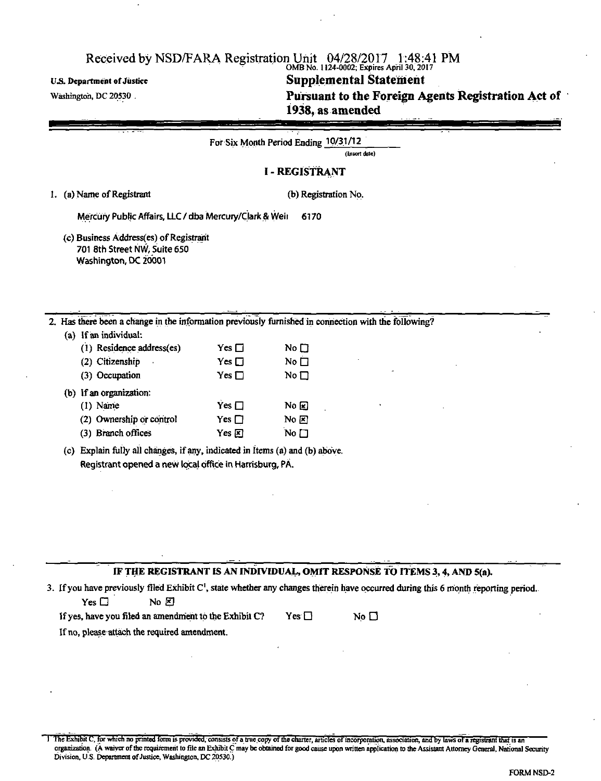#### OMB No. 1124-0002; Expires April 30,2017 U.S. Department of Justice **Supplemental Statement** *Supplemental* **Statement** *Nashington, DC 20530* Pursuant to the Foreign Agents Registration Act of

| 1938, as amended |  |
|------------------|--|
|                  |  |

|                                                                                                |               | For Six Month Period Ending 10/31/12<br>(Insert date)                                                |
|------------------------------------------------------------------------------------------------|---------------|------------------------------------------------------------------------------------------------------|
|                                                                                                |               | <b>I-REGISTRANT</b>                                                                                  |
| 1. (a) Name of Registrant                                                                      |               | (b) Registration No.                                                                                 |
| Mercury Public Affairs, LLC / dba Mercury/Clark & Weir                                         |               | 6170                                                                                                 |
| (c) Business Address(es) of Registrant<br>701 8th Street NW, Suite 650<br>Washington, DC 20001 |               |                                                                                                      |
|                                                                                                |               | 2. Has there been a change in the information previously furnished in connection with the following? |
| (a) If an individual:                                                                          |               |                                                                                                      |
| (1) Residence address(es)                                                                      | Yes $\square$ | No $\square$                                                                                         |
| (2) Citizenship                                                                                | Yes $\Box$    | No $\square$                                                                                         |
| (3) Occupation                                                                                 | Yes $\square$ | No $\square$                                                                                         |
| If an organization:<br>(b)                                                                     |               |                                                                                                      |
| $(1)$ Name                                                                                     | Yes $\Box$    | $N_0 \boxtimes$                                                                                      |
| (2) Ownership or control                                                                       | Yes $\square$ | No $\mathbb E$                                                                                       |

(3) Branch offices  $Yes \times No$ 

(c) Explain fully all changes, if any, indicated in Items (a) and (b) above. Registrant opened a new local office in Harrisburg, PA.

#### IF THE REGISTRANT IS AN INDIVIDUAL, OMIT RESPONSE TO ITEMS 3,4, AND 5(a).

|               | 3. If you have previously filed Exhibit C <sup>1</sup> , state whether any changes therein have occurred during this 6 month reporting period. |
|---------------|------------------------------------------------------------------------------------------------------------------------------------------------|
| Yes $\square$ | No FI                                                                                                                                          |

If yes, have you filed an amendment to the Exhibit C? Yes  $\Box$  No  $\Box$ If no, please attach the required amendment.

1 The Exhibit C, for which no printed form is provided, consists of a true copy of the charter, articles of incorporation, association, and by laws of a registrant that is an organization. (A waiver of the requirement to file an Exhibit C may be obtained for good cause upon written application to the Assistant Attorney General, National Security Division, U.S. Department of Justice, Washington, DC 20530.)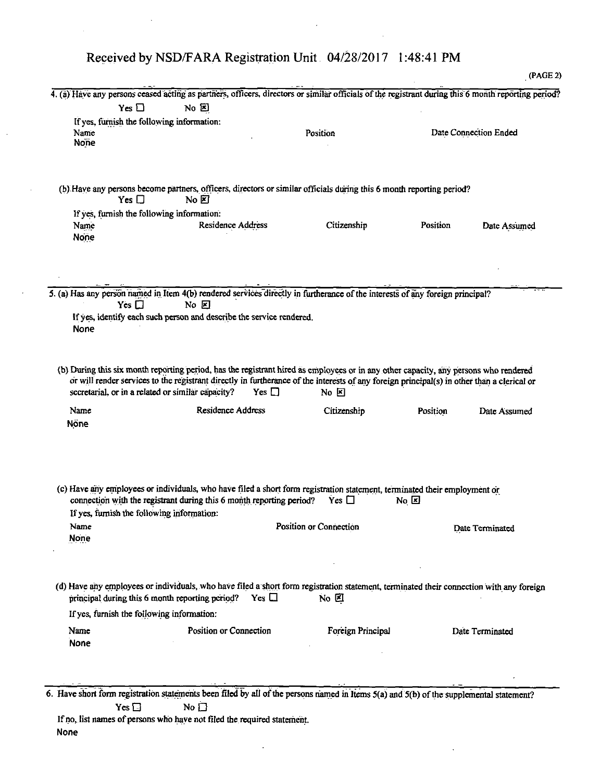$\ddot{\phantom{a}}$ 

|                                                            |                                                                      |                                                                                                                                                                   |          | (PAGE 2)              |
|------------------------------------------------------------|----------------------------------------------------------------------|-------------------------------------------------------------------------------------------------------------------------------------------------------------------|----------|-----------------------|
|                                                            |                                                                      | 4. (a) Have any persons ceased acting as partners, officers, directors or similar officials of the registrant during this 6 month reporting period?               |          |                       |
| Yes $\square$                                              | $\overline{N}$ $\overline{E}$                                        |                                                                                                                                                                   |          |                       |
| If yes, furnish the following information:<br>Name<br>None |                                                                      | Position                                                                                                                                                          |          | Date Connection Ended |
| Yes $\Box$                                                 | No E                                                                 | (b) Have any persons become partners, officers, directors or similar officials during this 6 month reporting period?                                              |          |                       |
| If yes, furnish the following information:                 |                                                                      |                                                                                                                                                                   |          |                       |
| Name<br>None                                               | <b>Residence Address</b>                                             | Citizenship                                                                                                                                                       | Position | Date Assumed          |
|                                                            |                                                                      |                                                                                                                                                                   |          |                       |
|                                                            |                                                                      | 5. (a) Has any person named in Item 4(b) rendered services directly in furtherance of the interests of any foreign principal?                                     |          |                       |
| Yes $\Box$                                                 | $N_0$ $\boxtimes$                                                    |                                                                                                                                                                   |          |                       |
| None                                                       | If yes, identify each such person and describe the service rendered. |                                                                                                                                                                   |          |                       |
|                                                            |                                                                      |                                                                                                                                                                   |          |                       |
| Name<br>Nöne                                               | <b>Residence Address</b>                                             | Citizenship                                                                                                                                                       | Position | Date Assumed          |
| If yes, furnish the following information:<br>Name<br>None | connection with the registrant during this 6 month reporting period? | (c) Have any employees or individuals, who have filed a short form registration statement, terminated their employment or<br>Yes $\Box$<br>Position or Connection | No k     | Date Terminated       |
|                                                            |                                                                      |                                                                                                                                                                   |          |                       |
|                                                            | principal during this 6 month reporting period? Yes $\Box$           | (d) Have any employees or individuals, who have filed a short form registration statement, terminated their connection with any foreign<br>$No$ $E$               |          |                       |
| If yes, furnish the following information:                 |                                                                      |                                                                                                                                                                   |          |                       |
| Name<br>None                                               | Position or Connection                                               | Foreign Principal                                                                                                                                                 |          | Date Terminated       |
|                                                            |                                                                      |                                                                                                                                                                   |          |                       |
|                                                            |                                                                      |                                                                                                                                                                   |          |                       |

If no, list names of persons who have not filed the required statement. None

 $\bar{z}$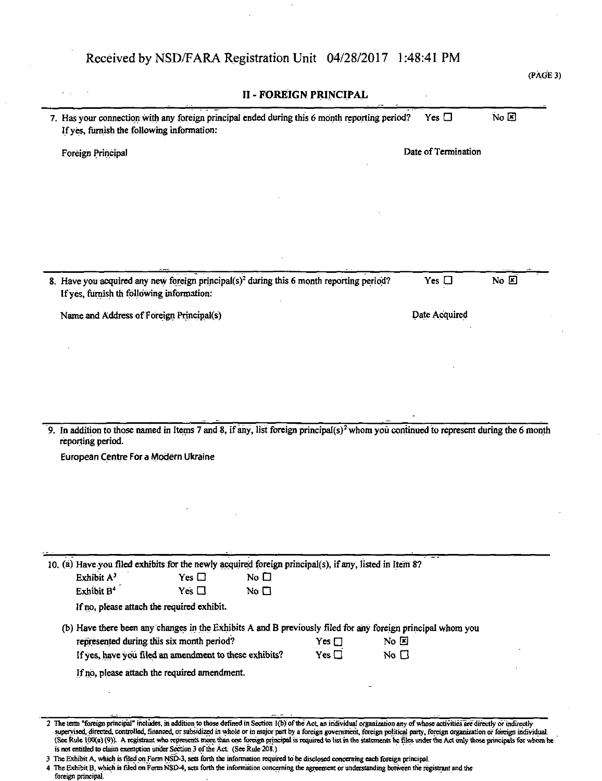| If yes, furnish the following information: | 7. Has your connection with any foreign principal ended during this 6 month reporting period?                                                     | Yes $\square$       | $No \triangleright$ |
|--------------------------------------------|---------------------------------------------------------------------------------------------------------------------------------------------------|---------------------|---------------------|
| Foreign Principal                          |                                                                                                                                                   | Date of Termination |                     |
|                                            |                                                                                                                                                   |                     |                     |
|                                            |                                                                                                                                                   |                     |                     |
|                                            |                                                                                                                                                   |                     |                     |
| If yes, furnish th following information:  | 8. Have you acquired any new foreign principal(s) <sup>2</sup> during this 6 month reporting period?                                              | Yes $\square$       | No E                |
| Name and Address of Foreign Principal(s)   |                                                                                                                                                   | Date Acquired       |                     |
|                                            |                                                                                                                                                   |                     |                     |
|                                            |                                                                                                                                                   |                     |                     |
|                                            |                                                                                                                                                   |                     |                     |
|                                            |                                                                                                                                                   |                     |                     |
|                                            |                                                                                                                                                   |                     |                     |
|                                            | 9. In addition to those named in Items 7 and 8, if any, list foreign principal(s) <sup>2</sup> whom you continued to represent during the 6 month |                     |                     |
| reporting period.                          |                                                                                                                                                   |                     |                     |
| European Centre For a Modern Ukraine       |                                                                                                                                                   |                     |                     |
|                                            |                                                                                                                                                   |                     |                     |
|                                            |                                                                                                                                                   |                     |                     |
|                                            |                                                                                                                                                   |                     |                     |
|                                            |                                                                                                                                                   |                     |                     |
|                                            | 10. (a) Have you filed exhibits for the newly acquired foreign principal(s), if any, listed in Item 8?                                            |                     |                     |
| Exhibit A <sup>3</sup>                     | Yes $\Box$<br>No $\square$                                                                                                                        |                     |                     |
| Exhibit B <sup>4</sup>                     | Yes $\Box$<br>No $\square$                                                                                                                        |                     |                     |
| If no, please attach the required exhibit. |                                                                                                                                                   |                     |                     |
|                                            | (b) Have there been any changes in the Exhibits A and B previously filed for any foreign principal whom you                                       |                     |                     |
|                                            | represented during this six month period?<br>No E<br>Yes $\square$                                                                                |                     |                     |
|                                            | If yes, have you filed an amendment to these exhibits?<br>Yes $\Box$<br>No $\Box$                                                                 |                     |                     |
|                                            | If no, please attach the required amendment.                                                                                                      |                     |                     |
|                                            |                                                                                                                                                   |                     |                     |

4 The Exhibit B, which is filed on Form NSD-4, sets forth the information concerning the agreement or understanding between the registrant and the

foreign principal.

## Received by NSD/FARA Registration Unit 04/28/2017 1:48:41 PM

(PAGE 3)

<sup>3</sup> The Exhibit A, which is filed on Form NSD-3, sets forth the information required to be disclosed concerning each foreign principal.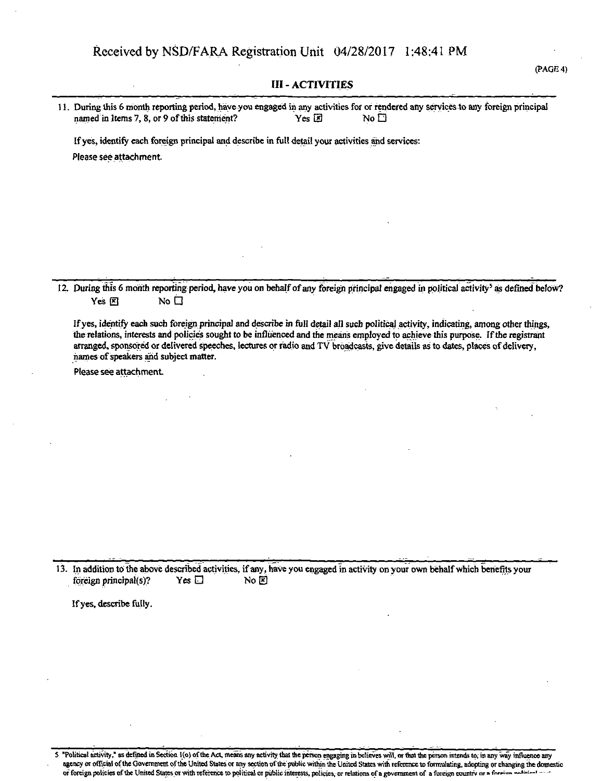#### **III - ACTIVITIES**

| 11. During this 6 month reporting period, have you engaged in any activities for or rendered any services to any foreign principal |       |              |  |
|------------------------------------------------------------------------------------------------------------------------------------|-------|--------------|--|
| named in Items 7, 8, or 9 of this statement?                                                                                       | Yes E | No $\square$ |  |

If yes, identify each foreign principal and describe in full detail your activities and services: Please see attachment.

12. During this 6 month reporting period, have you on behalf of any foreign principal engaged in political activity<sup>5</sup> as defined below? Yes  $\boxtimes$  No  $\Box$ 

If yes, identify each such foreign principal and describe in full detail all such political activity, indicating, among other things, the relations, interests and policies sought to be influenced and the means employed to achieve this purpose. If the registrant arranged, sponsored or delivered speeches, lectures or radio and TV broadcasts, give details as to dates, places of delivery, names of speakers and subject matter.

Please see attachment

13. In addition to the above described activities, if any, have you engaged in activity on your own behalf which benefits your foreign principal(s)? Yes  $\square$ foreign principal(s)? Yes  $\Box$  No  $\boxtimes$ 

If yes, describe fully.

5 "Political activity," as defined in Section 1(o) of the Act, means any activity that the person engaging in believes will, or that the person intends to, in any way influence any agency or official of the Government of the United States or any section of the public within the United States with reference to formulating, adopting or changing the domestic or foreign policies of the United States or with reference to political or public interests, policies, or relations of a government of a foreign country or a foreign country or a foreign

(PAGE 4)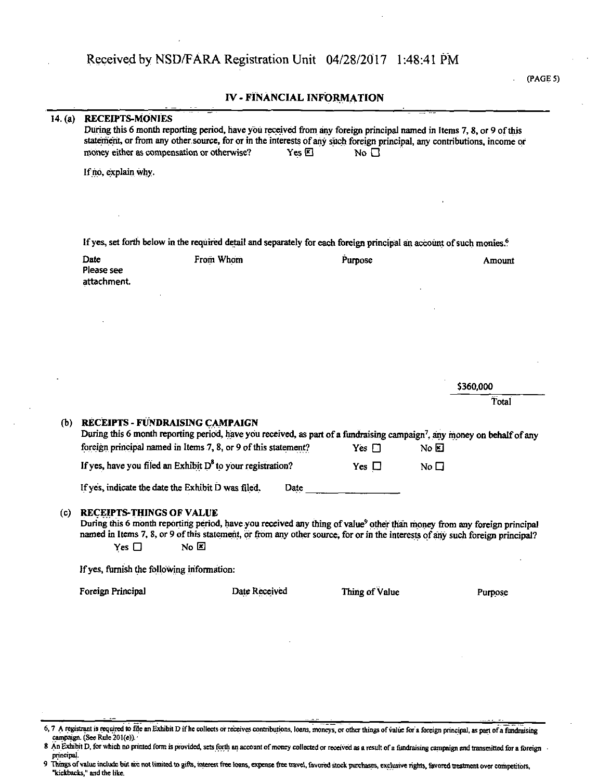#### IV - FINANCIAL INFORMATION

| 14. (a) | <b>RECEIPTS-MONIES</b>                           | During this 6 month reporting period, have you received from any foreign principal named in Items 7, 8, or 9 of this<br>statement, or from any other source, for or in the interests of any such foreign principal, any contributions, income or<br>money either as compensation or otherwise?<br>$Yes \boxtimes$ | No $\Box$      |              |
|---------|--------------------------------------------------|-------------------------------------------------------------------------------------------------------------------------------------------------------------------------------------------------------------------------------------------------------------------------------------------------------------------|----------------|--------------|
|         | If no, explain why.                              |                                                                                                                                                                                                                                                                                                                   |                |              |
|         |                                                  |                                                                                                                                                                                                                                                                                                                   |                |              |
|         |                                                  | If yes, set forth below in the required detail and separately for each foreign principal an account of such monies. <sup>6</sup>                                                                                                                                                                                  |                |              |
|         | Date<br>Please see<br>attachment.                | From Whom                                                                                                                                                                                                                                                                                                         | Purpose        | Amount       |
|         |                                                  |                                                                                                                                                                                                                                                                                                                   |                |              |
|         |                                                  |                                                                                                                                                                                                                                                                                                                   |                |              |
|         |                                                  |                                                                                                                                                                                                                                                                                                                   |                | \$360,000    |
|         |                                                  |                                                                                                                                                                                                                                                                                                                   |                | Total        |
| (b)     |                                                  | RECEIPTS - FUNDRAISING CAMPAIGN<br>During this 6 month reporting period, have you received, as part of a fundraising campaign <sup>7</sup> , any money on behalf of any<br>foreign principal named in Items 7, 8, or 9 of this statement?                                                                         | $Yes \Box$     | No E         |
|         |                                                  |                                                                                                                                                                                                                                                                                                                   |                |              |
|         |                                                  |                                                                                                                                                                                                                                                                                                                   |                |              |
|         |                                                  | If yes, have you filed an Exhibit $D^8$ to your registration?<br>If yes, indicate the date the Exhibit D was filed.<br>Date                                                                                                                                                                                       | Yes $\Box$     | No $\square$ |
| (c)     | <b>RECEIPTS-THINGS OF VALUE</b><br>Yes $\square$ | During this 6 month reporting period, have you received any thing of value <sup>9</sup> other than money from any foreign principal<br>named in Items 7, 8, or 9 of this statement, or from any other source, for or in the interests of any such foreign principal?<br>No E                                      |                |              |
|         | If yes, furnish the following information:       |                                                                                                                                                                                                                                                                                                                   |                |              |
|         | Foreign Principal                                | Date Received                                                                                                                                                                                                                                                                                                     | Thing of Value | Purpose      |

#### (PAGE 5)

<sup>6, 7</sup> A registrant is required to file an Exhibit D if he collects or receives contributions, loans, moneys, or other things of value for a foreign principal, as part of a fundraising campaign. (See Rule 201(e)).

<sup>8</sup> An Exhibit D, for which no printed form is provided, sets forth an account of money collected or received as a result of a fundraising campaign and transmitted for a foreign principal.

<sup>9</sup> Things of value include but are not limited to gifts, interest free loans, expense free travel, favored stock purchases, exclusive rights, favored treatment over competitors, "kickbacks," and the like.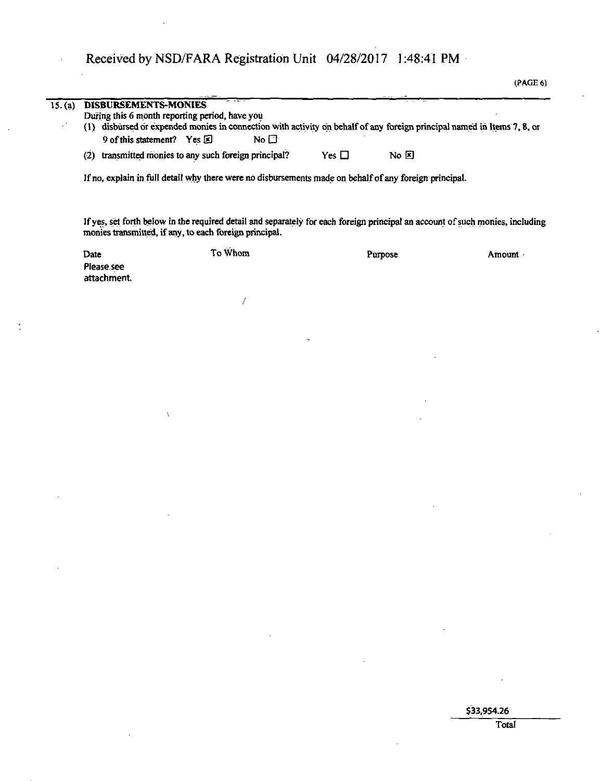| AGE<br>۷ |
|----------|
|----------|

| 15. (a) | - - <del>- -</del><br>DISBURSEMENTS-MONIES                                                                              |            |                |
|---------|-------------------------------------------------------------------------------------------------------------------------|------------|----------------|
|         | During this 6 month reporting period, have you                                                                          |            |                |
|         | (1) disbursed or expended monies in connection with activity on behalf of any foreign principal named in Items 7, 8, or |            |                |
|         | No $\Box$<br>9 of this statement? Yes 因                                                                                 |            |                |
|         | transmitted monies to any such foreign principal?<br>(2)                                                                | Yes $\Box$ | $\overline{N}$ |
|         | If no, explain in full detail why there were no disbursements made on behalf of any foreign principal.                  |            |                |

If yes, set forth below in die required detail and separately for each foreign principal an account of such monies, including monies transmitted, if any, to each foreign principal.

| Date                      | To Whom | Purpose | Amount |
|---------------------------|---------|---------|--------|
| Please see<br>attachment. |         |         |        |

/

 $\lambda$ 

\$33,954.26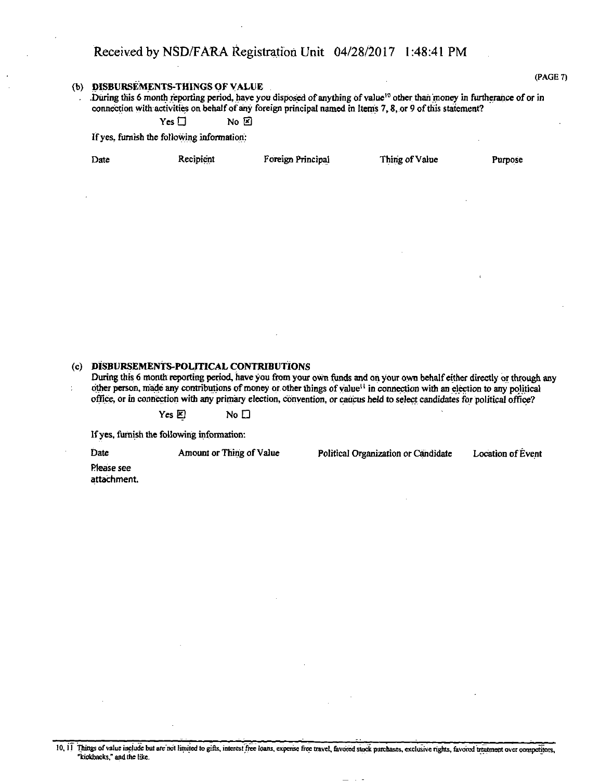(PAGE 7)

#### (b) pISBURSEMENTS-THINGS OF VALUE

. During this 6 month reporting period, have you disposed of anything of value<sup>10</sup> other than money in furtherance of or in connection with activities on behalf of any foreign principal named in Items 7,8, or 9 ofthis statement?

 $Yes \Box$  No  $E$ 

If yes, furnish the following information:

Date Recipient Foreign Principal Thing of Value Purpose

#### (c) DISBURSEMENTS-POLITICAL CONTRIBUTIONS

During this 6 month reporting period, have you from your own funds and on your own behalf either directly or through any other person, made any contributions of money or other things of value<sup>11</sup> in connection with an election to any political office, or in connection with any primary election, convention, or caucus held to select candidates for political office?

Yes  $E$  No  $D$ 

If yes, furnish the following information:

Date Amount or Thing of Value Political Organization or Candidate Location of Event

Please see attachment.

10, 11 Things of value include but are not limited to gifts, interest free loans, expense free travel, favored stock purchases, exclusive rights, favored treatment over competitors, "kickbacks," and the like.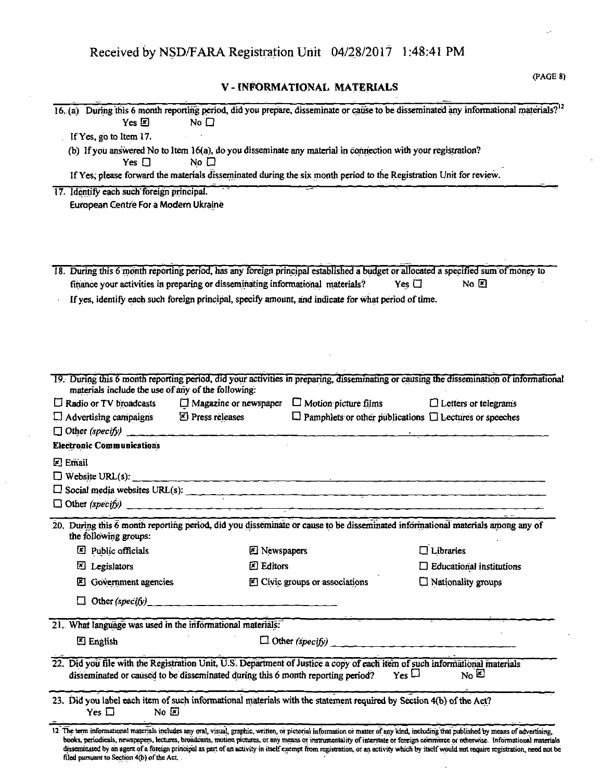V - INFORMATIONAL MATERIALS

| Yes $\boxtimes$                                                                                                                                                      | No $\square$                            |                                                                    | 16. (a) During this 6 month reporting period, did you prepare, disseminate or cause to be disseminated any informational materials? <sup>12</sup>                                                                                                                                                                                                                    |
|----------------------------------------------------------------------------------------------------------------------------------------------------------------------|-----------------------------------------|--------------------------------------------------------------------|----------------------------------------------------------------------------------------------------------------------------------------------------------------------------------------------------------------------------------------------------------------------------------------------------------------------------------------------------------------------|
| If Yes, go to Item 17.                                                                                                                                               |                                         |                                                                    |                                                                                                                                                                                                                                                                                                                                                                      |
| (b) If you answered No to Item 16(a), do you disseminate any material in connection with your registration?<br>Yes $\Box$                                            | No $\square$                            |                                                                    |                                                                                                                                                                                                                                                                                                                                                                      |
| If Yes, please forward the materials disseminated during the six month period to the Registration Unit for review.                                                   |                                         |                                                                    |                                                                                                                                                                                                                                                                                                                                                                      |
| 17. Identify each such foreign principal.                                                                                                                            |                                         |                                                                    |                                                                                                                                                                                                                                                                                                                                                                      |
| European Centre For a Modern Ukraine                                                                                                                                 |                                         |                                                                    |                                                                                                                                                                                                                                                                                                                                                                      |
|                                                                                                                                                                      |                                         |                                                                    |                                                                                                                                                                                                                                                                                                                                                                      |
|                                                                                                                                                                      |                                         |                                                                    |                                                                                                                                                                                                                                                                                                                                                                      |
|                                                                                                                                                                      |                                         |                                                                    |                                                                                                                                                                                                                                                                                                                                                                      |
| 18. During this 6 month reporting period, has any foreign principal established a budget or allocated a specified sum of money to                                    |                                         |                                                                    |                                                                                                                                                                                                                                                                                                                                                                      |
| finance your activities in preparing or disseminating informational materials?                                                                                       |                                         |                                                                    | Yes $\Box$<br>No $E$                                                                                                                                                                                                                                                                                                                                                 |
| If yes, identify each such foreign principal, specify amount, and indicate for what period of time.                                                                  |                                         |                                                                    |                                                                                                                                                                                                                                                                                                                                                                      |
|                                                                                                                                                                      |                                         |                                                                    |                                                                                                                                                                                                                                                                                                                                                                      |
|                                                                                                                                                                      |                                         |                                                                    |                                                                                                                                                                                                                                                                                                                                                                      |
|                                                                                                                                                                      |                                         |                                                                    |                                                                                                                                                                                                                                                                                                                                                                      |
|                                                                                                                                                                      |                                         |                                                                    |                                                                                                                                                                                                                                                                                                                                                                      |
|                                                                                                                                                                      |                                         |                                                                    |                                                                                                                                                                                                                                                                                                                                                                      |
| materials include the use of any of the following:                                                                                                                   |                                         |                                                                    | 19. During this 6 month reporting period, did your activities in preparing, disseminating or causing the dissemination of informational                                                                                                                                                                                                                              |
| $\Box$ Radio or TV broadcasts                                                                                                                                        |                                         | $\Box$ Magazine or newspaper $\Box$ Motion picture films           | $\Box$ Letters or telegrams                                                                                                                                                                                                                                                                                                                                          |
| $\Box$ Advertising campaigns                                                                                                                                         | $\mathbb{Z}$ Press releases             | $\Box$ Pamphlets or other publications $\Box$ Lectures or speeches |                                                                                                                                                                                                                                                                                                                                                                      |
|                                                                                                                                                                      |                                         |                                                                    |                                                                                                                                                                                                                                                                                                                                                                      |
| <b>Electronic Communications</b>                                                                                                                                     |                                         |                                                                    |                                                                                                                                                                                                                                                                                                                                                                      |
| <b>Z</b> Email                                                                                                                                                       |                                         |                                                                    |                                                                                                                                                                                                                                                                                                                                                                      |
|                                                                                                                                                                      |                                         |                                                                    |                                                                                                                                                                                                                                                                                                                                                                      |
|                                                                                                                                                                      |                                         |                                                                    |                                                                                                                                                                                                                                                                                                                                                                      |
| $\Box$ Other (specify)                                                                                                                                               |                                         |                                                                    |                                                                                                                                                                                                                                                                                                                                                                      |
| 20. During this 6 month reporting period, did you disseminate or cause to be disseminated informational materials among any of<br>the following groups:              |                                         |                                                                    |                                                                                                                                                                                                                                                                                                                                                                      |
| Public officials                                                                                                                                                     | <b>Z</b> Newspapers                     |                                                                    | $\Box$ Libraries                                                                                                                                                                                                                                                                                                                                                     |
| Legislators<br>⊠                                                                                                                                                     | <b>因 Editors</b>                        |                                                                    | $\Box$ Educational institutions                                                                                                                                                                                                                                                                                                                                      |
| Government agencies<br>Ш                                                                                                                                             |                                         | Civic groups or associations                                       | □ Nationality groups                                                                                                                                                                                                                                                                                                                                                 |
| Other (specify)                                                                                                                                                      | <u> 1980 - Johann Barbara, martin a</u> |                                                                    |                                                                                                                                                                                                                                                                                                                                                                      |
|                                                                                                                                                                      |                                         |                                                                    |                                                                                                                                                                                                                                                                                                                                                                      |
| 21. What language was used in the informational materials:                                                                                                           |                                         |                                                                    |                                                                                                                                                                                                                                                                                                                                                                      |
| <b>四 English</b>                                                                                                                                                     |                                         | $\Box$ Other (specify)                                             |                                                                                                                                                                                                                                                                                                                                                                      |
| 22. Did you file with the Registration Unit, U.S. Department of Justice a copy of each item of such informational materials                                          |                                         |                                                                    |                                                                                                                                                                                                                                                                                                                                                                      |
| disseminated or caused to be disseminated during this 6 month reporting period?                                                                                      |                                         | $Y_{es}$                                                           | $N_0$ $\mathbb{Z}$                                                                                                                                                                                                                                                                                                                                                   |
| 23. Did you label each item of such informational materials with the statement required by Section 4(b) of the Act?<br>$\overline{N}$ o $\overline{E}$<br>Yes $\Box$ |                                         |                                                                    |                                                                                                                                                                                                                                                                                                                                                                      |
|                                                                                                                                                                      |                                         |                                                                    | 12 The term informational materials includes any oral, visual, graphic, written, or pictorial information or matter of any kind, including that published by means of advertising,<br>books, periodicals, newspapers, lectures, broadcasts, motion pictures, or any means or instrumentality of interstate or foreign commerce or otherwise. Informational materials |
| filed pursuant to Section 4(b) of the Act.                                                                                                                           |                                         |                                                                    | disseminated by an agent of a foreign principal as part of an activity in itself exempt from registration, or an activity which by itself would not require registration, need not be                                                                                                                                                                                |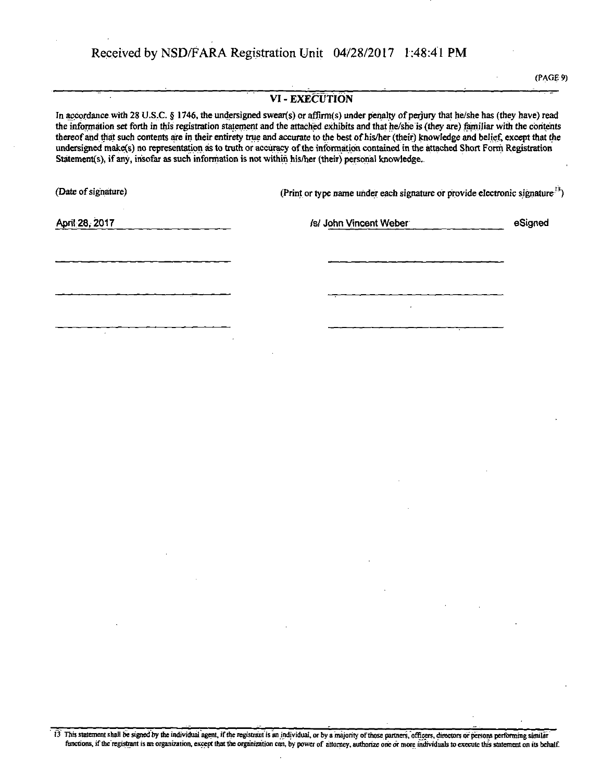$\overline{\phantom{a}}$ 

(PAGE 9)

| VI - EXECUTION<br>In accordance with 28 U.S.C. § 1746, the undersigned swear(s) or affirm(s) under penalty of perjury that he/she has (they have) read<br>the information set forth in this registration statement and the attached exhibits and that he/she is (they are) familiar with the contents<br>thereof and that such contents are in their entirety true and accurate to the best of his/her (their) knowledge and belief, except that the<br>undersigned make(s) no representation as to truth or accuracy of the information contained in the attached Short Form Registration<br>Statement(s), if any, insofar as such information is not within his/her (their) personal knowledge. |                                                                                                                                      |                                                                                                                                 |                                                                                                                                                                                                                                                                                                                                                                                                                                                             |         |
|---------------------------------------------------------------------------------------------------------------------------------------------------------------------------------------------------------------------------------------------------------------------------------------------------------------------------------------------------------------------------------------------------------------------------------------------------------------------------------------------------------------------------------------------------------------------------------------------------------------------------------------------------------------------------------------------------|--------------------------------------------------------------------------------------------------------------------------------------|---------------------------------------------------------------------------------------------------------------------------------|-------------------------------------------------------------------------------------------------------------------------------------------------------------------------------------------------------------------------------------------------------------------------------------------------------------------------------------------------------------------------------------------------------------------------------------------------------------|---------|
| (Date of signature)                                                                                                                                                                                                                                                                                                                                                                                                                                                                                                                                                                                                                                                                               |                                                                                                                                      | (Print or type name under each signature or provide electronic signature <sup>13</sup> )                                        |                                                                                                                                                                                                                                                                                                                                                                                                                                                             |         |
| April 28, 2017                                                                                                                                                                                                                                                                                                                                                                                                                                                                                                                                                                                                                                                                                    |                                                                                                                                      | /s/ John Vincent Weber                                                                                                          |                                                                                                                                                                                                                                                                                                                                                                                                                                                             | eSigned |
|                                                                                                                                                                                                                                                                                                                                                                                                                                                                                                                                                                                                                                                                                                   |                                                                                                                                      |                                                                                                                                 |                                                                                                                                                                                                                                                                                                                                                                                                                                                             |         |
|                                                                                                                                                                                                                                                                                                                                                                                                                                                                                                                                                                                                                                                                                                   |                                                                                                                                      |                                                                                                                                 |                                                                                                                                                                                                                                                                                                                                                                                                                                                             |         |
|                                                                                                                                                                                                                                                                                                                                                                                                                                                                                                                                                                                                                                                                                                   |                                                                                                                                      |                                                                                                                                 |                                                                                                                                                                                                                                                                                                                                                                                                                                                             |         |
|                                                                                                                                                                                                                                                                                                                                                                                                                                                                                                                                                                                                                                                                                                   |                                                                                                                                      |                                                                                                                                 |                                                                                                                                                                                                                                                                                                                                                                                                                                                             |         |
|                                                                                                                                                                                                                                                                                                                                                                                                                                                                                                                                                                                                                                                                                                   |                                                                                                                                      |                                                                                                                                 |                                                                                                                                                                                                                                                                                                                                                                                                                                                             |         |
|                                                                                                                                                                                                                                                                                                                                                                                                                                                                                                                                                                                                                                                                                                   |                                                                                                                                      |                                                                                                                                 |                                                                                                                                                                                                                                                                                                                                                                                                                                                             |         |
|                                                                                                                                                                                                                                                                                                                                                                                                                                                                                                                                                                                                                                                                                                   |                                                                                                                                      |                                                                                                                                 |                                                                                                                                                                                                                                                                                                                                                                                                                                                             |         |
|                                                                                                                                                                                                                                                                                                                                                                                                                                                                                                                                                                                                                                                                                                   |                                                                                                                                      |                                                                                                                                 |                                                                                                                                                                                                                                                                                                                                                                                                                                                             |         |
|                                                                                                                                                                                                                                                                                                                                                                                                                                                                                                                                                                                                                                                                                                   |                                                                                                                                      |                                                                                                                                 |                                                                                                                                                                                                                                                                                                                                                                                                                                                             |         |
| $\mathcal{L}(\mathcal{A})$ . The set of $\mathcal{L}(\mathcal{A})$<br>$\mathcal{L}(\mathcal{L}(\mathcal{L}))$ and $\mathcal{L}(\mathcal{L}(\mathcal{L}))$ . The contribution of $\mathcal{L}(\mathcal{L})$                                                                                                                                                                                                                                                                                                                                                                                                                                                                                        |                                                                                                                                      | $\mathcal{L}(\mathcal{L}(\mathcal{L}))$ and $\mathcal{L}(\mathcal{L}(\mathcal{L}))$ and $\mathcal{L}(\mathcal{L}(\mathcal{L}))$ |                                                                                                                                                                                                                                                                                                                                                                                                                                                             |         |
|                                                                                                                                                                                                                                                                                                                                                                                                                                                                                                                                                                                                                                                                                                   |                                                                                                                                      | the contract of the contract of the                                                                                             | $\mathcal{L}(\mathcal{L}(\mathcal{L}(\mathcal{L}(\mathcal{L}(\mathcal{L}(\mathcal{L}(\mathcal{L}(\mathcal{L}(\mathcal{L}(\mathcal{L}(\mathcal{L}(\mathcal{L}(\mathcal{L}(\mathcal{L}(\mathcal{L}(\mathcal{L}(\mathcal{L}(\mathcal{L}(\mathcal{L}(\mathcal{L}(\mathcal{L}(\mathcal{L}(\mathcal{L}(\mathcal{L}(\mathcal{L}(\mathcal{L}(\mathcal{L}(\mathcal{L}(\mathcal{L}(\mathcal{L}(\mathcal{L}(\mathcal{L}(\mathcal{L}(\mathcal{L}(\mathcal{L}(\mathcal{$ |         |
| and the state of the state of                                                                                                                                                                                                                                                                                                                                                                                                                                                                                                                                                                                                                                                                     | $\mathcal{L}(\mathcal{L}(\mathcal{L}))$ and $\mathcal{L}(\mathcal{L}(\mathcal{L}))$ . The contribution of $\mathcal{L}(\mathcal{L})$ |                                                                                                                                 | $\label{eq:2.1} \mathcal{L}(\mathcal{L}) = \mathcal{L}(\mathcal{L}) \mathcal{L}(\mathcal{L}) = \mathcal{L}(\mathcal{L}) \mathcal{L}(\mathcal{L})$                                                                                                                                                                                                                                                                                                           |         |
|                                                                                                                                                                                                                                                                                                                                                                                                                                                                                                                                                                                                                                                                                                   |                                                                                                                                      |                                                                                                                                 |                                                                                                                                                                                                                                                                                                                                                                                                                                                             |         |
|                                                                                                                                                                                                                                                                                                                                                                                                                                                                                                                                                                                                                                                                                                   |                                                                                                                                      |                                                                                                                                 |                                                                                                                                                                                                                                                                                                                                                                                                                                                             |         |

13 This statement shall be signed by the individual agent, if the registrant'is an individual, or by a majority of those partners,officers, directors or persons perfbnning similar functions, if the registrant is an organization, except that the organization can, by power of attorney, authorize one or more individuals to execute this statement on its behalf.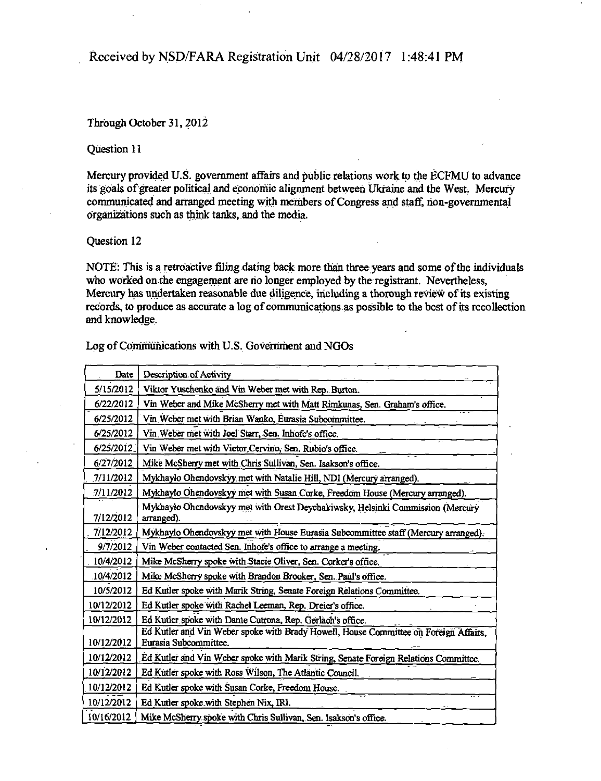#### Through October 31,2012

#### Question 11

Mercury provided U.S. government affairs and public relations work to the ECFMU to advance its goals of greater political and economic alignment between Ukraine and the West. Mercury communicated and arranged meeting with members of Congress and staff, non-governmental organizations such as think tanks, and the media.

#### Question 12

NOTE: This is a retroactive filing dating back more than three years and some of the individuals who worked on the engagement are no longer employed by the registrant. Nevertheless, Mercury has undertaken reasonable due diligence, including a thorough review of its existing records, to produce as accurate a log of communications as possible to the best of its recollection and knowledge.

| Log of Communications with U.S. Government and NGOs |  |  |  |
|-----------------------------------------------------|--|--|--|
|-----------------------------------------------------|--|--|--|

| Date       | Description of Activity                                                                                       |
|------------|---------------------------------------------------------------------------------------------------------------|
| 5/15/2012  | Viktor Yuschenko and Vin Weber met with Rep. Burton.                                                          |
| 6/22/2012  | Vin Weber and Mike McSherry met with Matt Rimkunas, Sen. Graham's office.                                     |
| 6/25/2012  | Vin Weber met with Brian Wanko, Eurasia Subcommittee.                                                         |
| 6/25/2012  | Vin Weber met with Joel Starr, Sen. Inhofe's office.                                                          |
| 6/25/2012  | Vin Weber met with Victor Cervino, Sen. Rubio's office.                                                       |
| 6/27/2012  | Mike McSherry met with Chris Sullivan, Sen. Isakson's office.                                                 |
| 7/11/2012  | Mykhaylo Ohendovskyy met with Natalie Hill, NDI (Mercury arranged).                                           |
| 7/11/2012  | Mykhaylo Ohendovskyy met with Susan Corke, Freedom House (Mercury arranged).                                  |
| 7/12/2012  | Mykhayło Ohendovskyy met with Orest Deychakiwsky, Helsinki Commission (Mercury<br>arranged).                  |
| 7/12/2012  | Mykhaylo Ohendovskyy met with House Eurasia Subcommittee staff (Mercury arranged).                            |
| 9/7/2012   | Vin Weber contacted Sen. Inhofe's office to arrange a meeting.                                                |
| 10/4/2012  | Mike McSherry spoke with Stacie Oliver, Sen. Corker's office.                                                 |
| 10/4/2012  | Mike McSherry spoke with Brandon Brooker, Sen. Paul's office.                                                 |
| 10/5/2012  | Ed Kutler spoke with Marik String, Senate Foreign Relations Committee.                                        |
| 10/12/2012 | Ed Kutler spoke with Rachel Leeman, Rep. Dreier's office.                                                     |
| 10/12/2012 | Ed Kutler spoke with Dante Cutrona, Rep. Gerlach's office.                                                    |
| 10/12/2012 | Ed Kutler and Vin Weber spoke with Brady Howell, House Committee on Foreign Affairs,<br>Eurasia Subcommittee. |
| 10/12/2012 | Ed Kutler and Vin Weber spoke with Marik String, Senate Foreign Relations Committee.                          |
| 10/12/2012 | Ed Kutler spoke with Ross Wilson, The Atlantic Council.                                                       |
| 10/12/2012 | Ed Kutler spoke with Susan Corke, Freedom House.                                                              |
| 10/12/2012 | Ed Kutler spoke with Stephen Nix, IRI.                                                                        |
| 10/16/2012 | Mike McSherry spoke with Chris Sullivan, Sen. Isakson's office.                                               |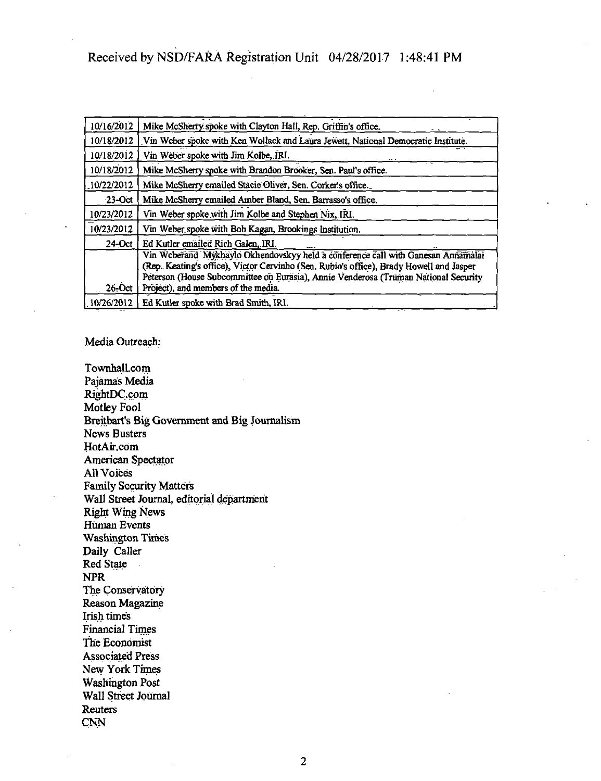| 10/16/2012 | Mike McSherry spoke with Clayton Hall, Rep. Griffin's office.                                                                                                                                                                                                                                             |
|------------|-----------------------------------------------------------------------------------------------------------------------------------------------------------------------------------------------------------------------------------------------------------------------------------------------------------|
| 10/18/2012 | Vin Weber spoke with Ken Wollack and Laura Jewett, National Democratic Institute.                                                                                                                                                                                                                         |
| 10/18/2012 | Vin Weber spoke with Jim Kolbe, IRI.                                                                                                                                                                                                                                                                      |
| 10/18/2012 | Mike McSherry spoke with Brandon Brooker, Sen. Paul's office.                                                                                                                                                                                                                                             |
| 10/22/2012 | Mike McSherry emailed Stacie Oliver, Sen. Corker's office.                                                                                                                                                                                                                                                |
| $23-Oct$   | Mike McSherry emailed Amber Bland, Sen. Barrasso's office.                                                                                                                                                                                                                                                |
| 10/23/2012 | Vin Weber spoke with Jim Kolbe and Stephen Nix, IRI.                                                                                                                                                                                                                                                      |
| 10/23/2012 | Vin Weber spoke with Bob Kagan, Brookings Institution.                                                                                                                                                                                                                                                    |
| $24$ -Oct  | Ed Kutler emailed Rich Galen, IRI.                                                                                                                                                                                                                                                                        |
| $26$ -Oct  | Vin Weberand Mykhaylo Okhendovskyy held a conference call with Ganesan Annamalai<br>(Rep. Keating's office), Victor Cervinho (Sen. Rubio's office), Brady Howell and Jasper<br>Peterson (House Subcommittee on Eurasia), Annie Venderosa (Truman National Security<br>Project), and members of the media. |
| 10/26/2012 | Ed Kutler spoke with Brad Smith, IRI.                                                                                                                                                                                                                                                                     |

Media Outreach:

Townhall.com Pajamas Media RightDC.com Motley Fool Breitbart's Big Government and Big Journalism News Busters HotAir.com American Spectator All Voices Family Security Matters Wall Street Journal, editorial department Right Wing News Human Events Washington Times Daily Caller Red State NPR The Conservatory Reason Magazine Irish times Financial Times The Economist Associated Press New York Times Washington Post Wall Street Journal Reuters CNN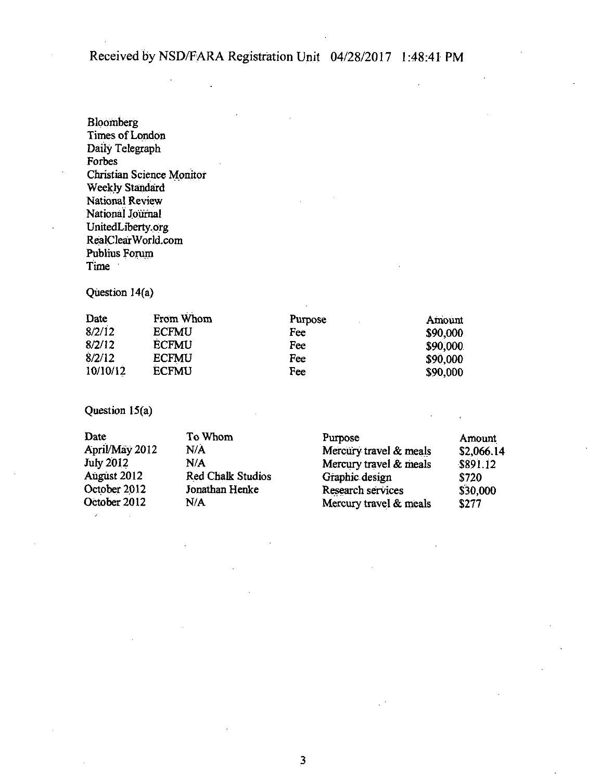Bloomberg Times of London Daily Telegraph Forbes Christian Science Monitor Weekly Standard National Review National Journal UnitedLiberty.org RealCIearWorld.com Publius Forum Time

Question 14(a)

| Date     | From Whom    | Purpose | Amount   |
|----------|--------------|---------|----------|
| 8/2/12   | <b>ECFMU</b> | Fee     | \$90,000 |
| 8/2/12   | <b>ECFMU</b> | Fee     | \$90,000 |
| 8/2/12   | <b>ECFMU</b> | Fee     | \$90,000 |
| 10/10/12 | <b>ECFMU</b> | Fee     | \$90,000 |

Question 15(a)

| To Whom                  | Purpose                | Amount            |
|--------------------------|------------------------|-------------------|
| N/A                      | Mercury travel & meals | \$2,066.14        |
| N/A                      | Mercury travel & meals | \$891.12          |
| <b>Red Chalk Studios</b> | Graphic design         | \$720             |
| Jonathan Henke           |                        | \$30,000          |
| N/A                      | Mercury travel & meals | <b>\$277</b>      |
|                          |                        | Research services |

**3**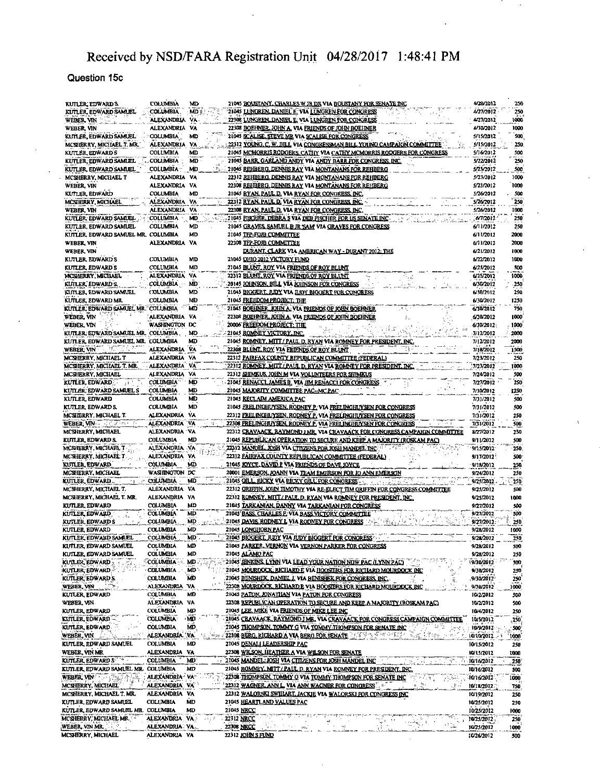### **Question 15c**

| KUTLER, EDWARD S.                                                                                                                                                                                                               |                   |                                                    |            |                                                                                     |                          |             |  |
|---------------------------------------------------------------------------------------------------------------------------------------------------------------------------------------------------------------------------------|-------------------|----------------------------------------------------|------------|-------------------------------------------------------------------------------------|--------------------------|-------------|--|
|                                                                                                                                                                                                                                 | <b>COLUMBIA</b>   | MD                                                 |            | 21045 <u>BOUSTANY, CHARLES W JR DR</u> VIA BOUSTANY FOR SENATE INC                  | 4/20/2012                | 250         |  |
| KUTLER, EDWARD SAMUEL                                                                                                                                                                                                           | COLUMBIA          | MD.                                                |            | 21045 LUNGREN, DANIEL E. VIA LUNGREN FOR CONGRESS                                   | 4/27/2012                | 250         |  |
|                                                                                                                                                                                                                                 |                   |                                                    |            |                                                                                     | 4/27/2012                | 1008        |  |
| WEBER, VIN                                                                                                                                                                                                                      | ALEXANDRIA        | ٧A                                                 |            | 22308 LUNGREN, DANIEL E. VIA LUNGREN FOR CONGRESS                                   |                          |             |  |
| WEBER, VIN                                                                                                                                                                                                                      | ALEXANDRIA VA     |                                                    |            | 22308 BOEHNER, JOHN A. VIA ERIENDS OF JOHN BOEHNER                                  | 4/30/2012                | 1000        |  |
| KUTLER, EDWARD SAMUEL                                                                                                                                                                                                           | <b>COLUMBIA</b>   | MD                                                 |            | 21045 SCALISE, STEVE MR VIA SCALISE FOR CONGRESS                                    | 5/15/2012                | 500         |  |
|                                                                                                                                                                                                                                 |                   |                                                    |            |                                                                                     |                          |             |  |
| MCSHERRY, MICHAEL T. MR.                                                                                                                                                                                                        | <b>ALEXANDRIA</b> | VA                                                 |            | 22312 YOUNG, C. W. BILL VIA CONGRESSMAN BILL YOUNG CAMPAIGN COMMITTEE               | 5/15/2012                | 250         |  |
| KUTLER, EDWARD'S                                                                                                                                                                                                                | COLUMBIA          | MD                                                 |            | 21045 MCMORRIS RODGERS, CATIIY VIA CATHY MCMORRIS RODGERS FOR CONGRESS              | 5/16/2012                | 500         |  |
| KUTLER, EDWARD SAMUEL                                                                                                                                                                                                           | <b>COLUMBIA</b>   | MD.                                                |            | 21045 BARR, GARLAND ANDY VIA ANDY BARR FOR CONGRESS, INC.                           | \$/22/2012               | 250         |  |
|                                                                                                                                                                                                                                 |                   |                                                    |            |                                                                                     |                          |             |  |
| KUTLER, EDWARD SAMLEL                                                                                                                                                                                                           | COLUMBIA-         | <b>MD</b>                                          |            | 21045 REHBERG, DENNIS RAY VIA MONTANANS FOR REHBERG                                 | 5/23/2012                | 500         |  |
| MCSHERRY, MICHAEL T                                                                                                                                                                                                             | <b>ALEXANDRIA</b> | VA                                                 |            | 22312 REHBERG, DENNIS RAY VIA MONTANANS FOR REHBERG                                 | 5/23/2012                | 1000        |  |
|                                                                                                                                                                                                                                 |                   |                                                    |            |                                                                                     |                          |             |  |
| WEBER, VIN                                                                                                                                                                                                                      | ALEXANDRIA VA     |                                                    |            | 22308 REHBERG, DENNIS RAY VIA MONTANANS FOR REHBERG                                 | 5/23/2012                | 1000        |  |
| KUTLER, EDWARD                                                                                                                                                                                                                  | COLUMBIA          | MD                                                 |            | 21045 RYAN, PAUL D. VIA RYAN FOR CONGRESS, INC.                                     | 5/26/2012                | 500         |  |
| MCSHERRY, MICHAEL                                                                                                                                                                                                               | <b>ALEXANDRIA</b> | ٧A                                                 |            | 22312 RYAN, PAUL D. VIA RYAN FOR CONGRESS, INC.                                     | 5/20/2012                | 250         |  |
|                                                                                                                                                                                                                                 |                   |                                                    |            |                                                                                     |                          |             |  |
| WEBER, VIN                                                                                                                                                                                                                      | ALEXANDRIA VA     |                                                    |            | 22308 RYAN, PAUL D. VIA RYAN FOR CONGRESS, INC.                                     | 5/26/2012                | 1000        |  |
| KUTLER, EDWARD SAMUEL                                                                                                                                                                                                           | COLUMBIA          | MD                                                 |            | 21045 FISCHER, DEBRA S VIA DEB FISCHER FOR US SENATE INC                            | 6/7/2012                 | 250         |  |
|                                                                                                                                                                                                                                 |                   |                                                    |            |                                                                                     |                          |             |  |
| KUTLER, EDWARD SAMUEL                                                                                                                                                                                                           | COLUMBIA          | <b>MD</b>                                          |            | 21045 GRAVES, SAMUEL B.JR 'SAM' VIA GRAVES FOR CONGRESS                             | 6/11/2012                | 250         |  |
| KUTLER, EDWARD SAMUEL MR. COLUMBIA                                                                                                                                                                                              |                   | <b>MD</b>                                          |            | 21045 TFP-FOIB COMMITTEE                                                            | 6/11/2012                | 2000        |  |
| WEBER, VIN                                                                                                                                                                                                                      | alexandria va     |                                                    |            | 22308 TFP-FOJB COMMITTEE                                                            | 6/11/2012                | 2000        |  |
|                                                                                                                                                                                                                                 |                   |                                                    |            |                                                                                     |                          |             |  |
| WEBER, VIN                                                                                                                                                                                                                      |                   |                                                    |            | DURANT, CLARK VIA AMERICAN WAY - DURANT 2012: THE                                   | 6/21/2012                | 1000        |  |
| KUTLER, EDWARD S                                                                                                                                                                                                                | COLUMBIA          | MD                                                 |            | 21045 0H10 2012 VICTORY FUND                                                        | 6/22/2012                | 1000        |  |
|                                                                                                                                                                                                                                 |                   |                                                    |            |                                                                                     |                          |             |  |
| KUTLER, EDWARD'S                                                                                                                                                                                                                | COLUMBIA          | MD                                                 |            | 21045 BLUNT, ROY VIA FRIENDS OF ROY BLUNT                                           | 6/25/2012                | 500         |  |
| MCSHERRY, MICHAEL                                                                                                                                                                                                               | ALEXANDRIA VA     |                                                    |            | 22312 BLUNT, ROY VIA FRIENDS OF ROY BLUNT                                           | 6/25/2012                | 1000        |  |
|                                                                                                                                                                                                                                 |                   |                                                    |            |                                                                                     |                          |             |  |
| KUTLER, EDWARD S                                                                                                                                                                                                                | COLUMBIA -        | <b>MD</b>                                          |            | 20145 JOHNSON, BILL VIA JOHNSON FOR CONGRESS                                        | 6/30/2012                | 250         |  |
| KUTLER, EDWARD SAMUEL                                                                                                                                                                                                           | <b>COLUMBIA</b>   | MD                                                 |            | 21045 BIGGERT, JUDY VIA JUDY BIGGERT FOR CONGRESS                                   | 6/30/2012                | 250         |  |
| KUTLER, EDWARD MR.                                                                                                                                                                                                              | COLUMBIA          | MD                                                 |            |                                                                                     |                          |             |  |
|                                                                                                                                                                                                                                 |                   |                                                    |            | 21045 FREEDOM PROJECT: THE                                                          | 6/30/2012                | 1250        |  |
| KUTLER, EDWARD SAMUEL MR. 'COLUMBIA                                                                                                                                                                                             |                   | MD                                                 |            | 21045 BOEHNER, JOHN A. VIA FRIENDS OF JOHN BOEHNER<br>计划                            | 6/30/2012                | 750         |  |
| WEBER, VIN                                                                                                                                                                                                                      | ALEXANDRIA VA     |                                                    |            | 22308 BOEHNER, JOHN A. VIA FRIENDS OF JOHN BOEHNER                                  | 6/30/2012                | 1000        |  |
|                                                                                                                                                                                                                                 |                   |                                                    |            |                                                                                     |                          |             |  |
| weber, vin                                                                                                                                                                                                                      | WASHINGTON DC     |                                                    |            | 20006 FREEDOM PROJECT: THE                                                          | 6/30/2012                | 1000        |  |
| KUTLER, EDWARD SAMUEL MR. COLUMBIA                                                                                                                                                                                              |                   | MD                                                 |            | 21045 ROMNEY VICTORY, INC.                                                          | 7/12/2012                | 2000        |  |
|                                                                                                                                                                                                                                 |                   |                                                    |            |                                                                                     |                          |             |  |
| KUTLER, EDWARD SAMUEL MR. COLUMBIA                                                                                                                                                                                              |                   | MD                                                 |            | 21045 ROMNEY, MITT / PAUL D. RYAN VIA ROMNEY FOR PRESIDENT, INC.                    | 7/12/2012                | 2000        |  |
| <b>WEBER, VIN</b>                                                                                                                                                                                                               | ALEXANDRIA VA     |                                                    |            | 22308 BLUNT, ROY VIA FRIENDS OF ROY BLUNT                                           | 7/18/2012                | 1500        |  |
|                                                                                                                                                                                                                                 |                   |                                                    |            |                                                                                     |                          |             |  |
| MCSHERRY, MICHAEL T                                                                                                                                                                                                             | ALEXANDRIA VA     |                                                    |            | 22312 FAIRFAX COUNTY REPUBLICAN COMMITTEE (FEDERAL)                                 | 7/23/2012                | 250         |  |
| MCSHERRY, MICHAEL T. MR.                                                                                                                                                                                                        | alexandria va     |                                                    |            | 22312 ROMNEY, MITT / PAUL D. RYAN VIA ROMNEY FOR PRESIDENT, INC.                    | 7/23/2012                | 1000        |  |
|                                                                                                                                                                                                                                 | ALEXANDRIA VA     |                                                    |            | 22312 SHIMKUS, JOHN M VIA VOLUNTEERS FOR SHIMKUS                                    |                          | 500         |  |
| MCSHERRY, MICHAEL                                                                                                                                                                                                               |                   |                                                    |            |                                                                                     | 7/24/2012                |             |  |
| <b>KUTLER, EDWARD.</b><br>-11                                                                                                                                                                                                   | <b>COLUMBIA</b>   | MD                                                 |            | 21045 RENACCI, JAMES B. VIA JIM RENACCI FOR CONGRESS                                | 7/27/2012                | 250         |  |
| KUTLER, EDWARD SAMUEL S                                                                                                                                                                                                         | <b>COLUMBIA</b>   | MD                                                 |            | 21045 MAJORITY COMMITTEE PAC-MC PAC                                                 | 7/30/2012                | 1250        |  |
|                                                                                                                                                                                                                                 |                   |                                                    |            |                                                                                     |                          |             |  |
| KUTLER, EDWARD                                                                                                                                                                                                                  | <b>COLUMBIA</b>   | MD                                                 |            | 21045 RECLAIM AMERICA PAC                                                           | 7/31/2012                | 500         |  |
| KUTLER, EDWARD S.                                                                                                                                                                                                               | <b>COLUMBIA</b>   | MD                                                 |            | 21045 FRELINGHUYSEN, RODNEY P. VIA FRELINGHUYSEN FOR CONGRESS                       | 7/31/2012                | 500         |  |
|                                                                                                                                                                                                                                 |                   |                                                    |            |                                                                                     |                          |             |  |
| MCSHERRY, MICHAEL T.                                                                                                                                                                                                            | ALEXANDRIA VA     |                                                    |            | 22312 FRELINGHUYSEN, RODNEY P., VIA FRELINGHUYSEN FOR CONGRESS                      | 7/31/2012                | 250         |  |
| WEBER, VINTER CONTRACTOR                                                                                                                                                                                                        | <b>ALEXANDRIA</b> | <b>VA</b><br>$\mathcal{C}_{\mathbf{p},\mathbf{r}}$ |            | 22308 FRELINGHUYSEN, RODNEY P. VIA FRELINGHUYSEN FOR CONGRESS                       | 7/31/2012                | 500         |  |
|                                                                                                                                                                                                                                 | ALEXANDRIA        | `VA                                                |            |                                                                                     |                          |             |  |
| MCSHERRY, MICHAEL                                                                                                                                                                                                               |                   |                                                    |            | 22312 CRAVAACK, RAYMOND J.MR. VIA CRAVAACK FOR CONGRESS CAMPAIGN COMMITTEE          | 8/27/2012                | 250         |  |
| KUTLER, EDWARD S.                                                                                                                                                                                                               | COLUMBIA          | MD                                                 |            | 21045 REPUBLICAN OPERATION TO SECURE AND KEEP A MAJORITY (ROSKAM PAC)               | 9/11/2012                |             |  |
|                                                                                                                                                                                                                                 |                   |                                                    |            |                                                                                     |                          | 500         |  |
|                                                                                                                                                                                                                                 |                   |                                                    |            |                                                                                     |                          |             |  |
| MCSHERRY, MICHAEL T                                                                                                                                                                                                             | alexandria va     |                                                    |            | 22312 <u>MANDEL, JOSH</u> VIA <u>CITIZENS POR JOSH MANDEL INC</u>                   | 9/15/2012                | 250         |  |
| MCSHERRY, MICHAEL T                                                                                                                                                                                                             | <b>ALEXANDRIA</b> | YA.                                                |            | 22312 FAIRFAX COUNTY REPUBLICAN COMMITTEE (PEDERAL)                                 | 9/17/2012                | 500         |  |
|                                                                                                                                                                                                                                 |                   |                                                    |            |                                                                                     |                          |             |  |
| KUTLER, EDWARD                                                                                                                                                                                                                  | COLUMBIA          | мo                                                 |            | 21045 KYCE, DAVID P VIA FRIENDS OF DAVE JOYCE                                       | 9/18/2012                | 250         |  |
| MCSHERRY, MICHAEL                                                                                                                                                                                                               | WASHINGTON DC     |                                                    |            | 20001 EMERSON, JOANN VIA TEAM EMERSON FOR JO ANN EMERSON                            | 9/24/2012                | 250         |  |
| kutler edward.                                                                                                                                                                                                                  | COLUMBIA          | MD                                                 |            |                                                                                     |                          |             |  |
|                                                                                                                                                                                                                                 |                   |                                                    |            | 21045 GILL, RICKY VIA RICKY GILL FOR CONGRESS.                                      | 9/25/2012                | $259 -$     |  |
| MCSHERRY, MICHAEL T.                                                                                                                                                                                                            | ALEXANDRIA VA     |                                                    |            | 22312 GRIFFIN, JOHN TIMOTHY VIA RE-ELECT TIM GRIFFIN FOR CONGRESS COMMITTEE         | 9/25/2012                | 500         |  |
| MCSHERRY, MICHAEL T. MR.                                                                                                                                                                                                        | ALEXANDRIA        | VA                                                 |            | 22312 ROMNEY, MITT/PAUL D. RYAN VIA ROMNEY FOR PRESIDENT, INC.                      | 9/25/2012                | 1000        |  |
|                                                                                                                                                                                                                                 |                   |                                                    |            |                                                                                     |                          |             |  |
| kutler, edward                                                                                                                                                                                                                  | COLUMBIA          | MD                                                 |            | 21045 TARKANIAN, DANNY VIA TARKANIAN FOR CONGRESS                                   | 9/27/2012                | 500         |  |
| kutler edward.                                                                                                                                                                                                                  | <b>COLUMBIA</b>   | MD                                                 |            | 21045 BASS, CHARLES F. VIA BASS VICTORY COMMITTEE                                   | 9/27/2012                | 500         |  |
| KUTLER, EDWARD S                                                                                                                                                                                                                | COLUMBIA          | ìЮ                                                 |            | 21045 DAVIS RODNEY L VIA RODNEY FOR CONGRESS                                        | 9/27/2012                |             |  |
|                                                                                                                                                                                                                                 |                   |                                                    |            |                                                                                     |                          | 250         |  |
| kutler edward                                                                                                                                                                                                                   | COLUMBIA          | ŃD                                                 |            | 21045 LONGHORN PAC                                                                  | 9/28/2012                | 1000        |  |
| KUTLER, EDWARD SAMUEL                                                                                                                                                                                                           | <b>COLUMBIA</b>   | MD                                                 |            | 21045 BIGGERT, JUDY VIA JUDY BIGGERT FOR CONGRESS                                   | 9/28/2012                | 250         |  |
|                                                                                                                                                                                                                                 |                   | MD                                                 |            |                                                                                     |                          |             |  |
| KUTLER, EDWARD SAMUEL                                                                                                                                                                                                           | <b>COLUMBIA</b>   |                                                    |            | 21045 PARKER, VERNON VIA VERNON PARKER FOR CONGRESS                                 | 9/28/2012                | 500         |  |
| KUTLER, EDWARD SAMUEL                                                                                                                                                                                                           | <b>COLUMBIA</b>   | МD                                                 |            | 21045 ALAMO PAC                                                                     | 9/28/2012                | 250         |  |
| KUTLER, EDWARD                                                                                                                                                                                                                  | <b>COLUMBIA</b>   | MD                                                 |            | 21045 JENKINS, LYNN VIA LEAD YOUR NATION NOW PAC (LYNN PAC)                         | 9/30/2012                | 500         |  |
|                                                                                                                                                                                                                                 |                   |                                                    |            |                                                                                     |                          |             |  |
| KUTLER, EDWARD                                                                                                                                                                                                                  | <b>COLUMBIA</b>   | MD.                                                |            | 21045 MOURDOUK, RICHARD E VIA HOOSTERS FOR RICHARD MOURDOUK INC                     | 9/30/2012                | 250         |  |
| KUTLER, EDWARD S.                                                                                                                                                                                                               | <b>COLUMBIA</b>   | MD                                                 |            | 21045 BENISHEK, DANIEL J. VIA BENISHEK FOR CONGRESS, INC.                           | .9/30/2012               | 250         |  |
| WEBER, VIN                                                                                                                                                                                                                      | ALEXANDRIA VA     |                                                    |            | 22308 MOURDOCK, RICHARD E VIA HOOSTERS FOR RICHARD MOURDOCK INC.                    | 9/30/2012                | 1000        |  |
|                                                                                                                                                                                                                                 |                   |                                                    |            |                                                                                     |                          |             |  |
| kutler, edward                                                                                                                                                                                                                  | <b>COLUMBIA</b>   | MD                                                 |            | 21045 PATON, JONATHAN VIA PATON FOR CONGRESS                                        | 10/2/2012                | 500         |  |
|                                                                                                                                                                                                                                 | ALEXANDRIA VA     |                                                    |            | 11308 REPUBLICAN OPERATION TO SECURE AND KEEP A MAJORITY (ROSKAM PAC)               | 10/2/2012                | 500         |  |
|                                                                                                                                                                                                                                 | <b>COLUMBIA</b>   | MD                                                 |            | 21045 LEE, MIKE VIA FRIENDS OF MIKE LEE INC                                         |                          |             |  |
| WEBER, VIN.<br>KUTLER, EDWARD                                                                                                                                                                                                   |                   |                                                    |            |                                                                                     | 10/4/2012                | 250         |  |
| KUTLER, EDWARD                                                                                                                                                                                                                  | <b>COLUMBIA</b>   | ۰M                                                 |            | 21045 CRAVAACK, RAYMOND I MR., VIA CRAVAACK FOR CONGRESS CAMPAIGN COMMITTEE         | 10/5/2012                | 250         |  |
|                                                                                                                                                                                                                                 | <b>COLUMBIA</b>   | MD.                                                |            | 21045 THOMPSON, TOMMY G VIA TOMMY THOMPSON FOR SENATE INC.                          | 10/9/2012                | 500         |  |
|                                                                                                                                                                                                                                 |                   |                                                    |            |                                                                                     |                          |             |  |
|                                                                                                                                                                                                                                 | alexandria va     | $\mathcal{H}_{\text{max}}$ and $q$                 |            | Sugar Pilang Sele<br>22308 BERG, RICHARD A VIA BERG FOR SENATE A MANAGEMENT COMPANY | 10/10/2012               | 1000        |  |
|                                                                                                                                                                                                                                 | <b>COLUMBIA</b>   | MD                                                 |            | 21045 DENALI LEADERSHIP PAC                                                         | 10/15/2012               | 250         |  |
|                                                                                                                                                                                                                                 |                   |                                                    |            |                                                                                     |                          |             |  |
| KUTLER, EDWARD<br>WEBER, VIN<br>KUTLER, EDWARD SAMUEL<br>WEBER, VIN MR                                                                                                                                                          | ALEXANDRIA VA     |                                                    |            | 22308 WILSON, HEATHER A VIA WILSON FOR SENATE                                       | 10/15/2012               | 1000        |  |
|                                                                                                                                                                                                                                 | <b>COLUMBIA</b>   | MD                                                 |            | 21045 MANDEL: JOSH VIA CITIZENS FOR JOSH MANDEL INC<br>$\mathcal{J}_1$<br>₹.        | 10/16/2012               | 250         |  |
|                                                                                                                                                                                                                                 |                   |                                                    |            |                                                                                     |                          |             |  |
|                                                                                                                                                                                                                                 | COLUMBIA          | MD                                                 |            | 21045 ROMNEY, MITT/PAUL D. RYAN VIA ROMNEY FOR PRESIDENT, INC.                      | 10/16/2012               | 500         |  |
|                                                                                                                                                                                                                                 | ALEXANDRIA VA     |                                                    |            | 22308 THOMPSON, TOMMY G VIA TOMMY THOMPSON FOR SENATE INC.                          | 10/16/2012               | 1000        |  |
|                                                                                                                                                                                                                                 | ALEXANDRIA VA     |                                                    |            | 22312 WAGNER, ANN L. VIA ANN WAGNER FOR CONGRESS                                    | 10/18/2012               |             |  |
|                                                                                                                                                                                                                                 |                   |                                                    |            |                                                                                     |                          | 750         |  |
|                                                                                                                                                                                                                                 | ALEXANDRÍA        | VA                                                 |            | 22312 WALORSKI SWIHART, JACKIE VIA WALORSKI FOR CONGRESS INC                        | 10/19/2012               | 250         |  |
|                                                                                                                                                                                                                                 | <b>COLUMBIA</b>   | MD                                                 |            | 21045 HEARTLAND VALUES PAC                                                          | 10/25/2012               | 250         |  |
|                                                                                                                                                                                                                                 |                   |                                                    |            |                                                                                     |                          |             |  |
|                                                                                                                                                                                                                                 | <b>COLUMBIA</b>   | MD                                                 | 21045 NRCC |                                                                                     | 10/25/2012               | 1000        |  |
|                                                                                                                                                                                                                                 | ALEXANDRIA VA.    |                                                    | 22312 NBCC |                                                                                     | 10/25/2012               | 250         |  |
|                                                                                                                                                                                                                                 | ALEXANDRIA VA.    |                                                    |            | 经营。<br>٠,<br>부요                                                                     |                          |             |  |
| KUTLER, EDWARD S<br>KUTLER, EDWARD SAMUEL MR.<br>WEBER, VIN<br>MCSHERRY, MICHAEL<br>MCSHERRY, MICHAEL T. MR.<br>KUTLER, EDWARD SAMUEL<br>KUTLER, EDWARD SAMUEL MR.<br>MCSHERRY MICHAEL MR<br>WEBER, VIN MR.<br>MCSHERRY MICHAEL | ALEXANDRIA VA     |                                                    | 22308 NRCC | 22312 <u>JOHN S FUND</u>                                                            | 10/25/2012<br>10/26/2012 | 1000<br>500 |  |